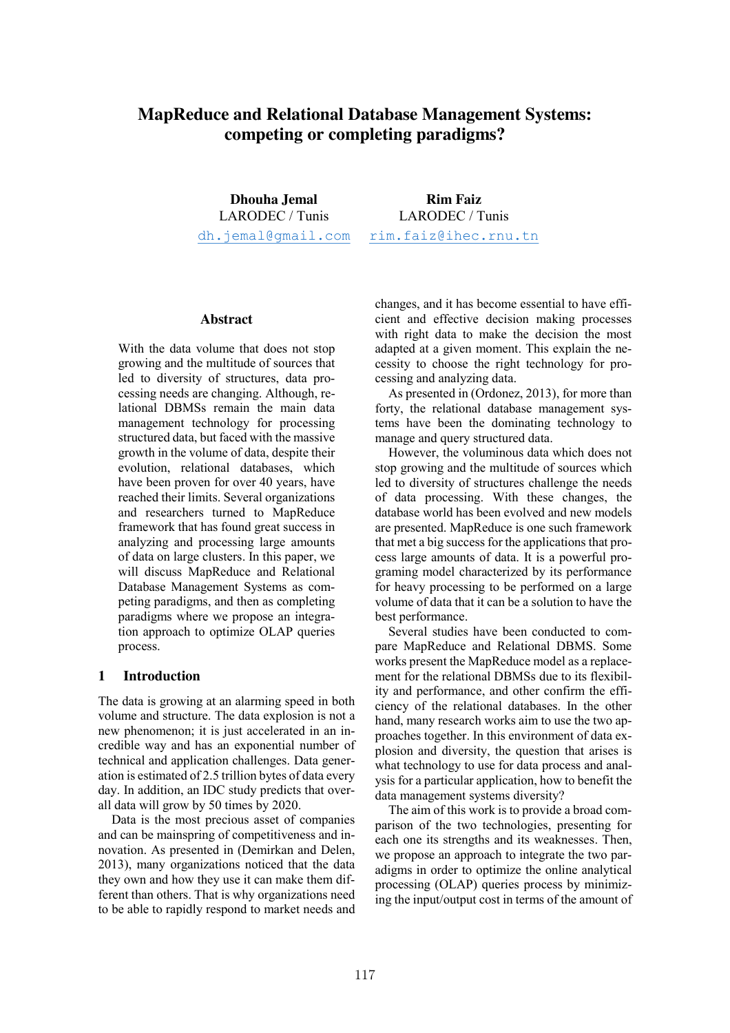# **MapReduce and Relational Database Management Systems: competing or completing paradigms?**

**Dhouha Jemal** LARODEC / Tunis dh.jemal@gmail.com

**Rim Faiz** LARODEC / Tunis rim.faiz@ihec.rnu.tn

#### **Abstract**

With the data volume that does not stop growing and the multitude of sources that led to diversity of structures, data processing needs are changing. Although, relational DBMSs remain the main data management technology for processing structured data, but faced with the massive growth in the volume of data, despite their evolution, relational databases, which have been proven for over 40 years, have reached their limits. Several organizations and researchers turned to MapReduce framework that has found great success in analyzing and processing large amounts of data on large clusters. In this paper, we will discuss MapReduce and Relational Database Management Systems as competing paradigms, and then as completing paradigms where we propose an integration approach to optimize OLAP queries process.

### **1 Introduction**

The data is growing at an alarming speed in both volume and structure. The data explosion is not a new phenomenon; it is just accelerated in an incredible way and has an exponential number of technical and application challenges. Data generation is estimated of 2.5 trillion bytes of data every day. In addition, an IDC study predicts that overall data will grow by 50 times by 2020.

Data is the most precious asset of companies and can be mainspring of competitiveness and innovation. As presented in (Demirkan and Delen, 2013), many organizations noticed that the data they own and how they use it can make them different than others. That is why organizations need to be able to rapidly respond to market needs and changes, and it has become essential to have efficient and effective decision making processes with right data to make the decision the most adapted at a given moment. This explain the necessity to choose the right technology for processing and analyzing data.

As presented in (Ordonez, 2013), for more than forty, the relational database management systems have been the dominating technology to manage and query structured data.

However, the voluminous data which does not stop growing and the multitude of sources which led to diversity of structures challenge the needs of data processing. With these changes, the database world has been evolved and new models are presented. MapReduce is one such framework that met a big success for the applications that process large amounts of data. It is a powerful programing model characterized by its performance for heavy processing to be performed on a large volume of data that it can be a solution to have the best performance.

Several studies have been conducted to compare MapReduce and Relational DBMS. Some works present the MapReduce model as a replacement for the relational DBMSs due to its flexibility and performance, and other confirm the efficiency of the relational databases. In the other hand, many research works aim to use the two approaches together. In this environment of data explosion and diversity, the question that arises is what technology to use for data process and analysis for a particular application, how to benefit the data management systems diversity?

The aim of this work is to provide a broad comparison of the two technologies, presenting for each one its strengths and its weaknesses. Then, we propose an approach to integrate the two paradigms in order to optimize the online analytical processing (OLAP) queries process by minimizing the input/output cost in terms of the amount of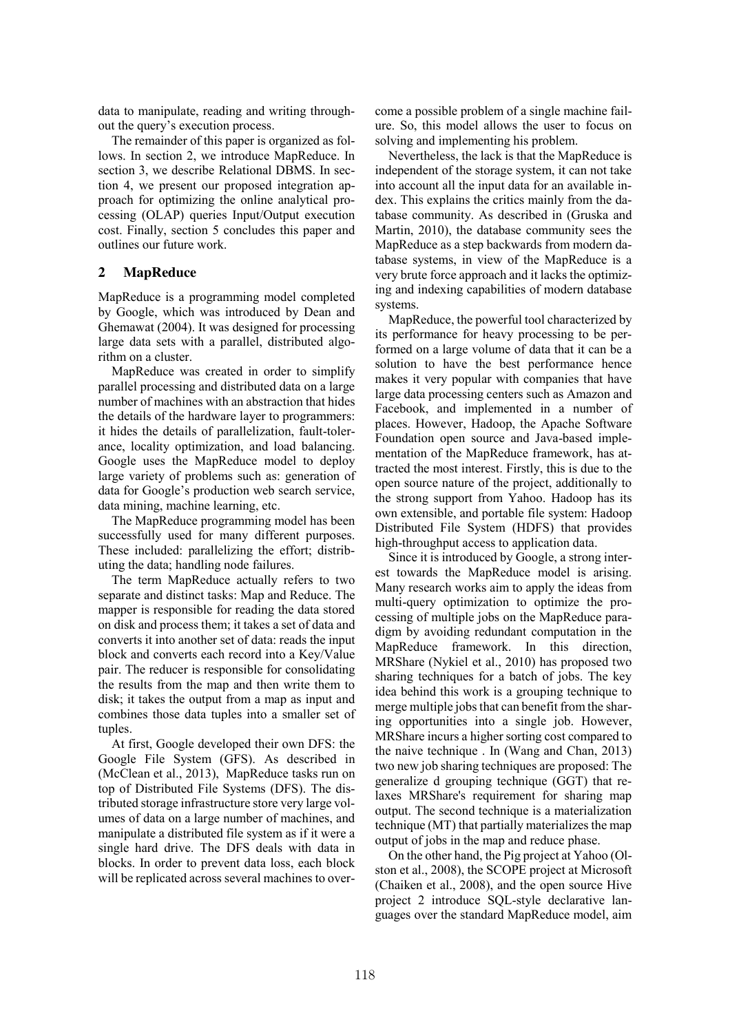data to manipulate, reading and writing throughout the query's execution process.

The remainder of this paper is organized as follows. In section 2, we introduce MapReduce. In section 3, we describe Relational DBMS. In section 4, we present our proposed integration approach for optimizing the online analytical processing (OLAP) queries Input/Output execution cost. Finally, section 5 concludes this paper and outlines our future work.

# **2 MapReduce**

MapReduce is a programming model completed by Google, which was introduced by Dean and Ghemawat (2004). It was designed for processing large data sets with a parallel, distributed algorithm on a cluster.

MapReduce was created in order to simplify parallel processing and distributed data on a large number of machines with an abstraction that hides the details of the hardware layer to programmers: it hides the details of parallelization, fault-tolerance, locality optimization, and load balancing. Google uses the MapReduce model to deploy large variety of problems such as: generation of data for Google's production web search service, data mining, machine learning, etc.

The MapReduce programming model has been successfully used for many different purposes. These included: parallelizing the effort; distributing the data; handling node failures.

The term MapReduce actually refers to two separate and distinct tasks: Map and Reduce. The mapper is responsible for reading the data stored on disk and process them; it takes a set of data and converts it into another set of data: reads the input block and converts each record into a Key/Value pair. The reducer is responsible for consolidating the results from the map and then write them to disk; it takes the output from a map as input and combines those data tuples into a smaller set of tuples.

At first, Google developed their own DFS: the Google File System (GFS). As described in (McClean et al., 2013), MapReduce tasks run on top of Distributed File Systems (DFS). The distributed storage infrastructure store very large volumes of data on a large number of machines, and manipulate a distributed file system as if it were a single hard drive. The DFS deals with data in blocks. In order to prevent data loss, each block will be replicated across several machines to overcome a possible problem of a single machine failure. So, this model allows the user to focus on solving and implementing his problem.

Nevertheless, the lack is that the MapReduce is independent of the storage system, it can not take into account all the input data for an available index. This explains the critics mainly from the database community. As described in (Gruska and Martin, 2010), the database community sees the MapReduce as a step backwards from modern database systems, in view of the MapReduce is a very brute force approach and it lacks the optimizing and indexing capabilities of modern database systems.

MapReduce, the powerful tool characterized by its performance for heavy processing to be performed on a large volume of data that it can be a solution to have the best performance hence makes it very popular with companies that have large data processing centers such as Amazon and Facebook, and implemented in a number of places. However, Hadoop, the Apache Software Foundation open source and Java-based implementation of the MapReduce framework, has attracted the most interest. Firstly, this is due to the open source nature of the project, additionally to the strong support from Yahoo. Hadoop has its own extensible, and portable file system: Hadoop Distributed File System (HDFS) that provides high-throughput access to application data.

Since it is introduced by Google, a strong interest towards the MapReduce model is arising. Many research works aim to apply the ideas from multi-query optimization to optimize the processing of multiple jobs on the MapReduce paradigm by avoiding redundant computation in the MapReduce framework. In this direction, MRShare (Nykiel et al., 2010) has proposed two sharing techniques for a batch of jobs. The key idea behind this work is a grouping technique to merge multiple jobs that can benefit from the sharing opportunities into a single job. However, MRShare incurs a higher sorting cost compared to the naive technique . In (Wang and Chan, 2013) two new job sharing techniques are proposed: The generalize d grouping technique (GGT) that relaxes MRShare's requirement for sharing map output. The second technique is a materialization technique (MT) that partially materializes the map output of jobs in the map and reduce phase.

On the other hand, the Pig project at Yahoo (Olston et al., 2008), the SCOPE project at Microsoft (Chaiken et al., 2008), and the open source Hive project 2 introduce SQL-style declarative languages over the standard MapReduce model, aim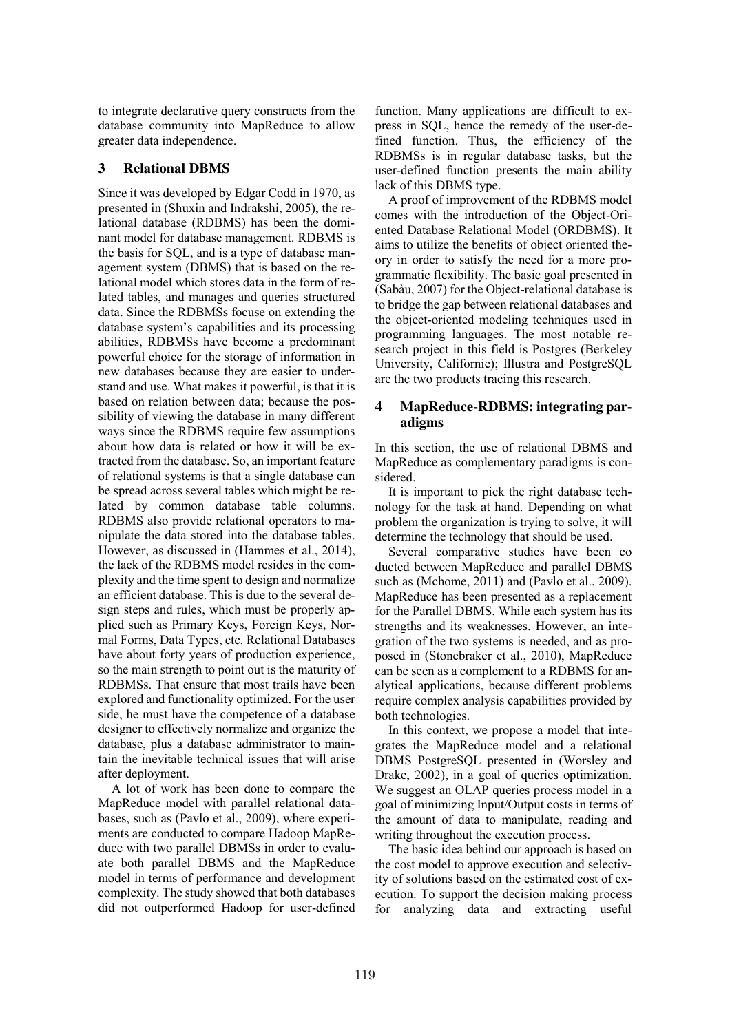to integrate declarative query constructs from the database community into MapReduce to allow greater data independence.

### **3 Relational DBMS**

Since it was developed by Edgar Codd in 1970, as presented in (Shuxin and Indrakshi, 2005), the relational database (RDBMS) has been the dominant model for database management. RDBMS is the basis for SQL, and is a type of database management system (DBMS) that is based on the relational model which stores data in the form of related tables, and manages and queries structured data. Since the RDBMSs focuse on extending the database system's capabilities and its processing abilities, RDBMSs have become a predominant powerful choice for the storage of information in new databases because they are easier to understand and use. What makes it powerful, is that it is based on relation between data; because the possibility of viewing the database in many different ways since the RDBMS require few assumptions about how data is related or how it will be extracted from the database. So, an important feature of relational systems is that a single database can be spread across several tables which might be related by common database table columns. RDBMS also provide relational operators to manipulate the data stored into the database tables. However, as discussed in (Hammes et al., 2014), the lack of the RDBMS model resides in the complexity and the time spent to design and normalize an efficient database. This is due to the several design steps and rules, which must be properly applied such as Primary Keys, Foreign Keys, Normal Forms, Data Types, etc. Relational Databases have about forty years of production experience, so the main strength to point out is the maturity of RDBMSs. That ensure that most trails have been explored and functionality optimized. For the user side, he must have the competence of a database designer to effectively normalize and organize the database, plus a database administrator to maintain the inevitable technical issues that will arise after deployment.

A lot of work has been done to compare the MapReduce model with parallel relational databases, such as (Pavlo et al., 2009), where experiments are conducted to compare Hadoop MapReduce with two parallel DBMSs in order to evaluate both parallel DBMS and the MapReduce model in terms of performance and development complexity. The study showed that both databases did not outperformed Hadoop for user-defined function. Many applications are difficult to express in SQL, hence the remedy of the user-defined function. Thus, the efficiency of the RDBMSs is in regular database tasks, but the user-defined function presents the main ability lack of this DBMS type.

A proof of improvement of the RDBMS model comes with the introduction of the Object-Oriented Database Relational Model (ORDBMS). It aims to utilize the benefits of object oriented theory in order to satisfy the need for a more programmatic flexibility. The basic goal presented in (Sabàu, 2007) for the Object-relational database is to bridge the gap between relational databases and the object-oriented modeling techniques used in programming languages. The most notable research project in this field is Postgres (Berkeley University, Californie); Illustra and PostgreSQL are the two products tracing this research.

# **4 MapReduce-RDBMS: integrating paradigms**

In this section, the use of relational DBMS and MapReduce as complementary paradigms is considered.

It is important to pick the right database technology for the task at hand. Depending on what problem the organization is trying to solve, it will determine the technology that should be used.

Several comparative studies have been co ducted between MapReduce and parallel DBMS such as (Mchome, 2011) and (Pavlo et al., 2009). MapReduce has been presented as a replacement for the Parallel DBMS. While each system has its strengths and its weaknesses. However, an integration of the two systems is needed, and as proposed in (Stonebraker et al., 2010), MapReduce can be seen as a complement to a RDBMS for analytical applications, because different problems require complex analysis capabilities provided by both technologies.

In this context, we propose a model that integrates the MapReduce model and a relational DBMS PostgreSQL presented in (Worsley and Drake, 2002), in a goal of queries optimization. We suggest an OLAP queries process model in a goal of minimizing Input/Output costs in terms of the amount of data to manipulate, reading and writing throughout the execution process.

The basic idea behind our approach is based on the cost model to approve execution and selectivity of solutions based on the estimated cost of execution. To support the decision making process for analyzing data and extracting useful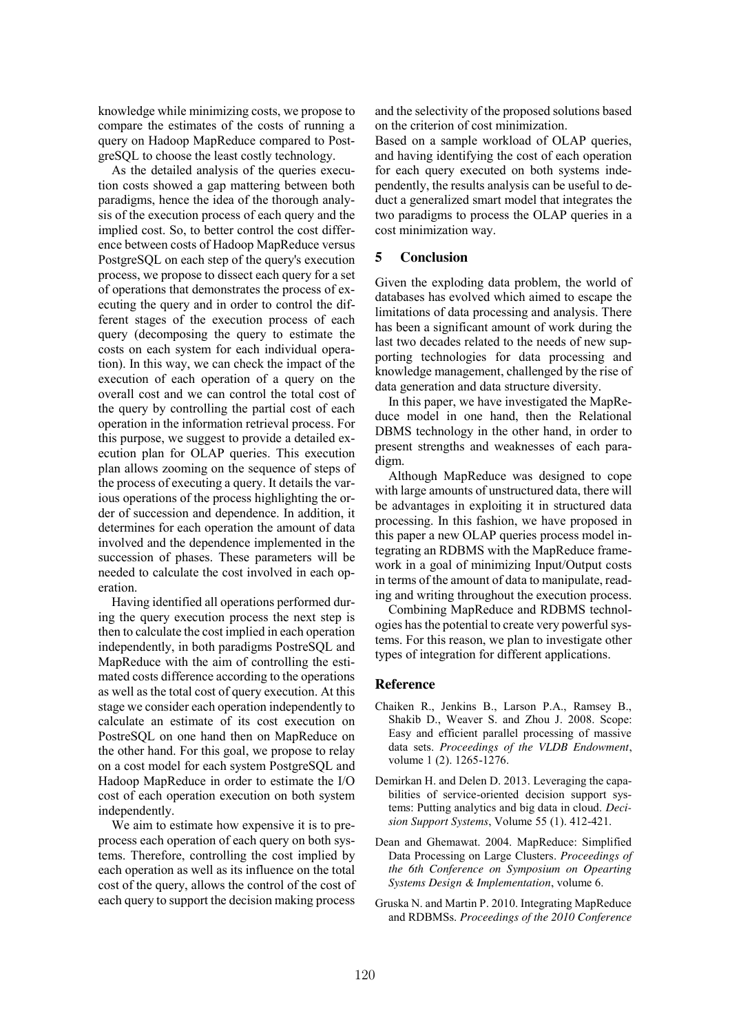knowledge while minimizing costs, we propose to compare the estimates of the costs of running a query on Hadoop MapReduce compared to PostgreSQL to choose the least costly technology.

As the detailed analysis of the queries execution costs showed a gap mattering between both paradigms, hence the idea of the thorough analysis of the execution process of each query and the implied cost. So, to better control the cost difference between costs of Hadoop MapReduce versus PostgreSQL on each step of the query's execution process, we propose to dissect each query for a set of operations that demonstrates the process of executing the query and in order to control the different stages of the execution process of each query (decomposing the query to estimate the costs on each system for each individual operation). In this way, we can check the impact of the execution of each operation of a query on the overall cost and we can control the total cost of the query by controlling the partial cost of each operation in the information retrieval process. For this purpose, we suggest to provide a detailed execution plan for OLAP queries. This execution plan allows zooming on the sequence of steps of the process of executing a query. It details the various operations of the process highlighting the order of succession and dependence. In addition, it determines for each operation the amount of data involved and the dependence implemented in the succession of phases. These parameters will be needed to calculate the cost involved in each operation.

Having identified all operations performed during the query execution process the next step is then to calculate the cost implied in each operation independently, in both paradigms PostreSQL and MapReduce with the aim of controlling the estimated costs difference according to the operations as well as the total cost of query execution. At this stage we consider each operation independently to calculate an estimate of its cost execution on PostreSQL on one hand then on MapReduce on the other hand. For this goal, we propose to relay on a cost model for each system PostgreSQL and Hadoop MapReduce in order to estimate the I/O cost of each operation execution on both system independently.

We aim to estimate how expensive it is to preprocess each operation of each query on both systems. Therefore, controlling the cost implied by each operation as well as its influence on the total cost of the query, allows the control of the cost of each query to support the decision making process and the selectivity of the proposed solutions based on the criterion of cost minimization.

Based on a sample workload of OLAP queries, and having identifying the cost of each operation for each query executed on both systems independently, the results analysis can be useful to deduct a generalized smart model that integrates the two paradigms to process the OLAP queries in a cost minimization way.

#### **5 Conclusion**

Given the exploding data problem, the world of databases has evolved which aimed to escape the limitations of data processing and analysis. There has been a significant amount of work during the last two decades related to the needs of new supporting technologies for data processing and knowledge management, challenged by the rise of data generation and data structure diversity.

In this paper, we have investigated the MapReduce model in one hand, then the Relational DBMS technology in the other hand, in order to present strengths and weaknesses of each paradigm.

Although MapReduce was designed to cope with large amounts of unstructured data, there will be advantages in exploiting it in structured data processing. In this fashion, we have proposed in this paper a new OLAP queries process model integrating an RDBMS with the MapReduce framework in a goal of minimizing Input/Output costs in terms of the amount of data to manipulate, reading and writing throughout the execution process.

Combining MapReduce and RDBMS technologies has the potential to create very powerful systems. For this reason, we plan to investigate other types of integration for different applications.

### **Reference**

- Chaiken R., Jenkins B., Larson P.A., Ramsey B., Shakib D., Weaver S. and Zhou J. 2008. Scope: Easy and efficient parallel processing of massive data sets. *Proceedings of the VLDB Endowment*, volume 1 (2). 1265-1276.
- Demirkan H. and Delen D. 2013. Leveraging the capabilities of service-oriented decision support systems: Putting analytics and big data in cloud. *Decision Support Systems*, Volume 55 (1). 412-421.
- Dean and Ghemawat. 2004. MapReduce: Simplified Data Processing on Large Clusters. *Proceedings of the 6th Conference on Symposium on Opearting Systems Design & Implementation*, volume 6.
- Gruska N. and Martin P. 2010. Integrating MapReduce and RDBMSs. *Proceedings of the 2010 Conference*